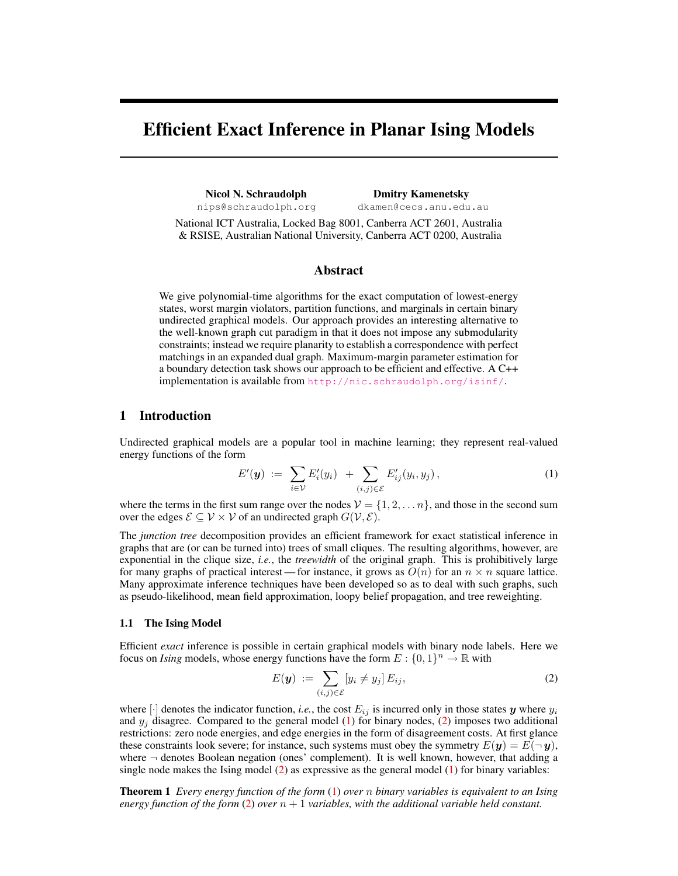# Efficient Exact Inference in Planar Ising Models

Nicol N. Schraudolph Dmitry Kamenetsky nips@schraudolph.org dkamen@cecs.anu.edu.au

National ICT Australia, Locked Bag 8001, Canberra ACT 2601, Australia & RSISE, Australian National University, Canberra ACT 0200, Australia

## Abstract

We give polynomial-time algorithms for the exact computation of lowest-energy states, worst margin violators, partition functions, and marginals in certain binary undirected graphical models. Our approach provides an interesting alternative to the well-known graph cut paradigm in that it does not impose any submodularity constraints; instead we require planarity to establish a correspondence with perfect matchings in an expanded dual graph. Maximum-margin parameter estimation for a boundary detection task shows our approach to be efficient and effective. A C++ implementation is available from http://nic.schraudolph.org/isinf/.

# 1 Introduction

Undirected graphical models are a popular tool in machine learning; they represent real-valued energy functions of the form

$$
E'(\boldsymbol{y}) := \sum_{i \in \mathcal{V}} E'_i(y_i) + \sum_{(i,j) \in \mathcal{E}} E'_{ij}(y_i, y_j), \qquad (1)
$$

where the terms in the first sum range over the nodes  $V = \{1, 2, \ldots n\}$ , and those in the second sum over the edges  $\mathcal{E} \subseteq \mathcal{V} \times \mathcal{V}$  of an undirected graph  $G(\mathcal{V}, \mathcal{E})$ .

The *junction tree* decomposition provides an efficient framework for exact statistical inference in graphs that are (or can be turned into) trees of small cliques. The resulting algorithms, however, are exponential in the clique size, *i.e.*, the *treewidth* of the original graph. This is prohibitively large for many graphs of practical interest — for instance, it grows as  $O(n)$  for an  $n \times n$  square lattice. Many approximate inference techniques have been developed so as to deal with such graphs, such as pseudo-likelihood, mean field approximation, loopy belief propagation, and tree reweighting.

#### 1.1 The Ising Model

Efficient *exact* inference is possible in certain graphical models with binary node labels. Here we focus on *Ising* models, whose energy functions have the form  $E: \{0,1\}^n \to \mathbb{R}$  with

$$
E(\mathbf{y}) := \sum_{(i,j)\in\mathcal{E}} [y_i \neq y_j] E_{ij}, \tag{2}
$$

where  $[\cdot]$  denotes the indicator function, *i.e.*, the cost  $E_{ij}$  is incurred only in those states y where  $y_i$ and  $y_i$  disagree. Compared to the general model (1) for binary nodes, (2) imposes two additional restrictions: zero node energies, and edge energies in the form of disagreement costs. At first glance these constraints look severe; for instance, such systems must obey the symmetry  $E(y) = E(\neg y)$ , where  $\neg$  denotes Boolean negation (ones' complement). It is well known, however, that adding a single node makes the Ising model  $(2)$  as expressive as the general model  $(1)$  for binary variables:

Theorem 1 *Every energy function of the form* (1) *over* n *binary variables is equivalent to an Ising energy function of the form* (2) *over*  $n + 1$  *variables, with the additional variable held constant.*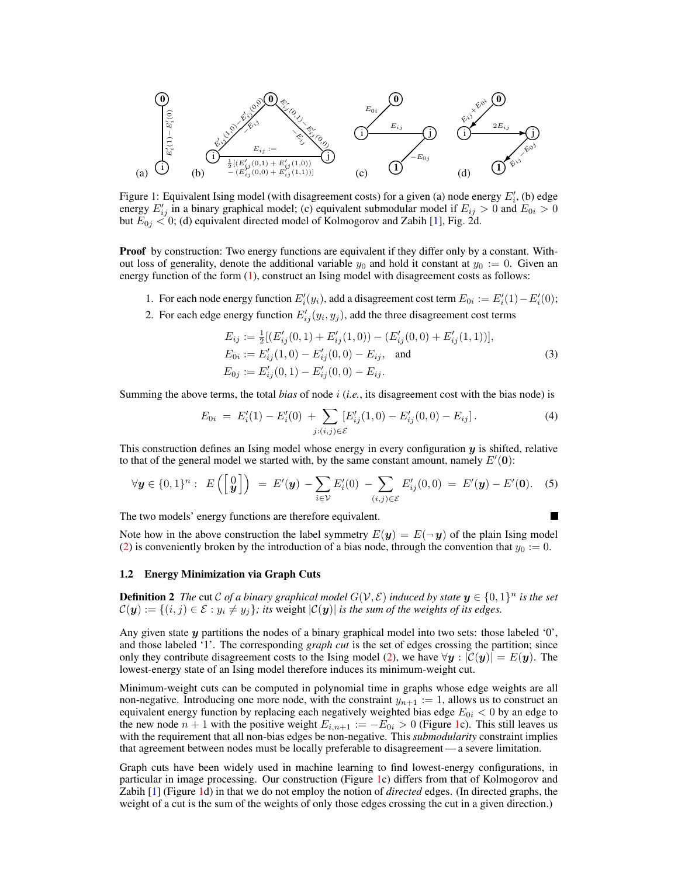

Figure 1: Equivalent Ising model (with disagreement costs) for a given (a) node energy  $E_i'$ , (b) edge energy  $E'_{ij}$  in a binary graphical model; (c) equivalent submodular model if  $E_{ij} > 0$  and  $E_{0i} > 0$ but  $E_{0j} < 0$ ; (d) equivalent directed model of Kolmogorov and Zabih [1], Fig. 2d.

**Proof** by construction: Two energy functions are equivalent if they differ only by a constant. Without loss of generality, denote the additional variable  $y_0$  and hold it constant at  $y_0 := 0$ . Given an energy function of the form (1), construct an Ising model with disagreement costs as follows:

- 1. For each node energy function  $E'_i(y_i)$ , add a disagreement cost term  $E_{0i} := E'_i(1) E'_i(0)$ ;
- 2. For each edge energy function  $E'_{ij}(y_i, y_j)$ , add the three disagreement cost terms

$$
E_{ij} := \frac{1}{2} [(E'_{ij}(0,1) + E'_{ij}(1,0)) - (E'_{ij}(0,0) + E'_{ij}(1,1))],
$$
  
\n
$$
E_{0i} := E'_{ij}(1,0) - E'_{ij}(0,0) - E_{ij},
$$
 and  
\n
$$
E_{0j} := E'_{ij}(0,1) - E'_{ij}(0,0) - E_{ij}.
$$
 (3)

Summing the above terms, the total *bias* of node i (*i.e.*, its disagreement cost with the bias node) is

$$
E_{0i} = E'_i(1) - E'_i(0) + \sum_{j:(i,j) \in \mathcal{E}} [E'_{ij}(1,0) - E'_{ij}(0,0) - E_{ij}]. \tag{4}
$$

This construction defines an Ising model whose energy in every configuration  $y$  is shifted, relative to that of the general model we started with, by the same constant amount, namely  $E'(0)$ :

$$
\forall \mathbf{y} \in \{0,1\}^n : E\left(\begin{bmatrix} 0 \\ \mathbf{y} \end{bmatrix}\right) = E'(\mathbf{y}) - \sum_{i \in \mathcal{V}} E'_i(0) - \sum_{(i,j) \in \mathcal{E}} E'_{ij}(0,0) = E'(\mathbf{y}) - E'(\mathbf{0}). \quad (5)
$$

The two models' energy functions are therefore equivalent.

Note how in the above construction the label symmetry  $E(y) = E(\neg y)$  of the plain Ising model (2) is conveniently broken by the introduction of a bias node, through the convention that  $y_0 := 0$ .

#### 1.2 Energy Minimization via Graph Cuts

**Definition 2** The cut C of a binary graphical model  $G(V, \mathcal{E})$  induced by state  $y \in \{0, 1\}^n$  is the set  $\mathcal{C}(\bm{y}) := \{(i, j) \in \mathcal{E} : y_i \neq y_j\}$ ; its weight  $|\mathcal{C}(\bm{y})|$  is the sum of the weights of its edges.

Any given state y partitions the nodes of a binary graphical model into two sets: those labeled '0', and those labeled '1'. The corresponding *graph cut* is the set of edges crossing the partition; since only they contribute disagreement costs to the Ising model (2), we have  $\forall y : |\mathcal{C}(y)| = E(y)$ . The lowest-energy state of an Ising model therefore induces its minimum-weight cut.

Minimum-weight cuts can be computed in polynomial time in graphs whose edge weights are all non-negative. Introducing one more node, with the constraint  $y_{n+1} := 1$ , allows us to construct an equivalent energy function by replacing each negatively weighted bias edge  $E_{0i} < 0$  by an edge to the new node  $n + 1$  with the positive weight  $E_{i,n+1} := -E_{0i} > 0$  (Figure 1c). This still leaves us with the requirement that all non-bias edges be non-negative. This *submodularity* constraint implies that agreement between nodes must be locally preferable to disagreement — a severe limitation.

Graph cuts have been widely used in machine learning to find lowest-energy configurations, in particular in image processing. Our construction (Figure 1c) differs from that of Kolmogorov and Zabih [1] (Figure 1d) in that we do not employ the notion of *directed* edges. (In directed graphs, the weight of a cut is the sum of the weights of only those edges crossing the cut in a given direction.)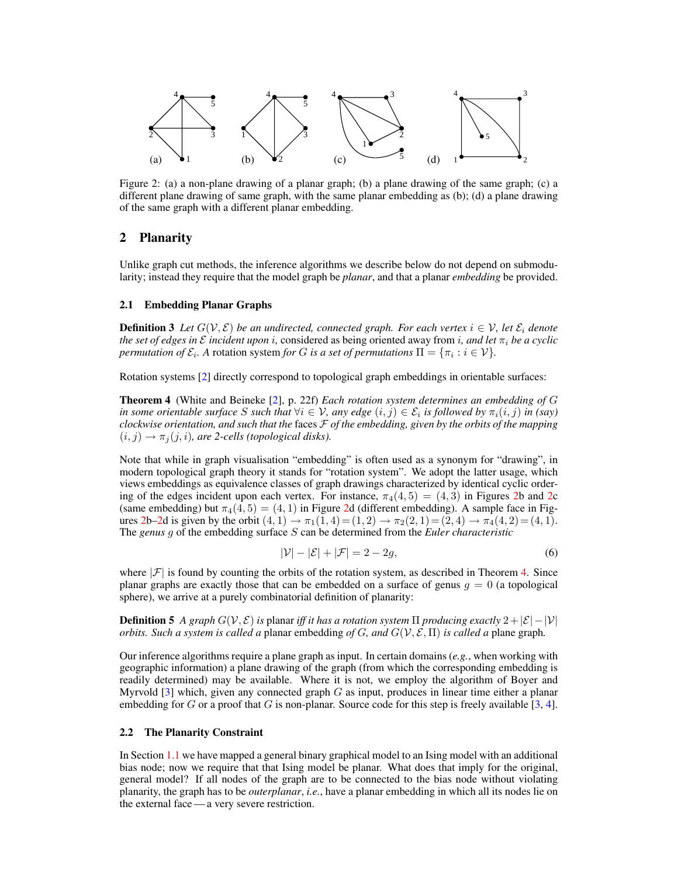

Figure 2: (a) a non-plane drawing of a planar graph; (b) a plane drawing of the same graph; (c) a different plane drawing of same graph, with the same planar embedding as (b); (d) a plane drawing of the same graph with a different planar embedding.

# 2 Planarity

Unlike graph cut methods, the inference algorithms we describe below do not depend on submodularity; instead they require that the model graph be *planar*, and that a planar *embedding* be provided.

#### 2.1 Embedding Planar Graphs

**Definition 3** Let  $G(\mathcal{V}, \mathcal{E})$  be an undirected, connected graph. For each vertex  $i \in \mathcal{V}$ , let  $\mathcal{E}_i$  denote *the set of edges in*  $\mathcal{E}$  *incident upon i, considered as being oriented away from i, and let*  $\pi_i$  *be a cyclic permutation of*  $\mathcal{E}_i$ *.* A rotation system *for* G *is a set of permutations*  $\Pi = {\pi_i : i \in \mathcal{V}}$ *.* 

Rotation systems [2] directly correspond to topological graph embeddings in orientable surfaces:

Theorem 4 (White and Beineke [2], p. 22f) *Each rotation system determines an embedding of* G *in some orientable surface* S such that  $\forall i \in V$ , any edge  $(i, j) \in \mathcal{E}_i$  is followed by  $\pi_i(i, j)$  in (say) *clockwise orientation, and such that the* faces F *of the embedding, given by the orbits of the mapping*  $(i, j) \rightarrow \pi_j(j, i)$ *, are 2-cells (topological disks).* 

Note that while in graph visualisation "embedding" is often used as a synonym for "drawing", in modern topological graph theory it stands for "rotation system". We adopt the latter usage, which views embeddings as equivalence classes of graph drawings characterized by identical cyclic ordering of the edges incident upon each vertex. For instance,  $\pi_4(4,5) = (4,3)$  in Figures 2b and 2c (same embedding) but  $\pi_4(4, 5) = (4, 1)$  in Figure 2d (different embedding). A sample face in Figures 2b–2d is given by the orbit  $(4, 1) \rightarrow \pi_1(1, 4) = (1, 2) \rightarrow \pi_2(2, 1) = (2, 4) \rightarrow \pi_4(4, 2) = (4, 1)$ . The *genus* g of the embedding surface S can be determined from the *Euler characteristic*

$$
|\mathcal{V}| - |\mathcal{E}| + |\mathcal{F}| = 2 - 2g,\tag{6}
$$

where  $|\mathcal{F}|$  is found by counting the orbits of the rotation system, as described in Theorem 4. Since planar graphs are exactly those that can be embedded on a surface of genus  $g = 0$  (a topological sphere), we arrive at a purely combinatorial definition of planarity:

**Definition 5** *A graph*  $G(V, \mathcal{E})$  *is* planar *iff it has a rotation system*  $\Pi$  *producing exactly*  $2 + |\mathcal{E}| - |V|$ *orbits. Such a system is called a* planar embedding *of* G, and  $G(V, \mathcal{E}, \Pi)$  *is called a* plane graph.

Our inference algorithms require a plane graph as input. In certain domains (*e.g.*, when working with geographic information) a plane drawing of the graph (from which the corresponding embedding is readily determined) may be available. Where it is not, we employ the algorithm of Boyer and Myrvold  $\lceil 3 \rceil$  which, given any connected graph G as input, produces in linear time either a planar embedding for G or a proof that G is non-planar. Source code for this step is freely available [3, 4].

#### 2.2 The Planarity Constraint

In Section 1.1 we have mapped a general binary graphical model to an Ising model with an additional bias node; now we require that that Ising model be planar. What does that imply for the original, general model? If all nodes of the graph are to be connected to the bias node without violating planarity, the graph has to be *outerplanar*, *i.e.*, have a planar embedding in which all its nodes lie on the external face — a very severe restriction.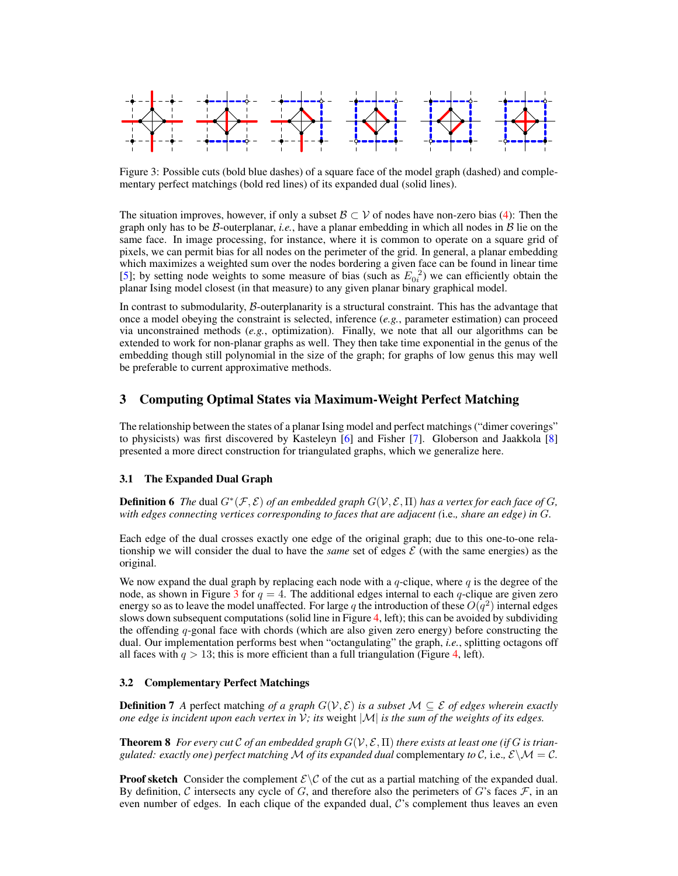

Figure 3: Possible cuts (bold blue dashes) of a square face of the model graph (dashed) and complementary perfect matchings (bold red lines) of its expanded dual (solid lines).

The situation improves, however, if only a subset  $\mathcal{B} \subset \mathcal{V}$  of nodes have non-zero bias (4): Then the graph only has to be  $\beta$ -outerplanar, *i.e.*, have a planar embedding in which all nodes in  $\beta$  lie on the same face. In image processing, for instance, where it is common to operate on a square grid of pixels, we can permit bias for all nodes on the perimeter of the grid. In general, a planar embedding which maximizes a weighted sum over the nodes bordering a given face can be found in linear time [5]; by setting node weights to some measure of bias (such as  $E_{0i}^2$ ) we can efficiently obtain the planar Ising model closest (in that measure) to any given planar binary graphical model.

In contrast to submodularity,  $\beta$ -outerplanarity is a structural constraint. This has the advantage that once a model obeying the constraint is selected, inference (*e.g.*, parameter estimation) can proceed via unconstrained methods (*e.g.*, optimization). Finally, we note that all our algorithms can be extended to work for non-planar graphs as well. They then take time exponential in the genus of the embedding though still polynomial in the size of the graph; for graphs of low genus this may well be preferable to current approximative methods.

# 3 Computing Optimal States via Maximum-Weight Perfect Matching

The relationship between the states of a planar Ising model and perfect matchings ("dimer coverings" to physicists) was first discovered by Kasteleyn [6] and Fisher [7]. Globerson and Jaakkola [8] presented a more direct construction for triangulated graphs, which we generalize here.

## 3.1 The Expanded Dual Graph

**Definition 6** The dual  $G^*(\mathcal{F}, \mathcal{E})$  of an embedded graph  $G(\mathcal{V}, \mathcal{E}, \Pi)$  has a vertex for each face of G, *with edges connecting vertices corresponding to faces that are adjacent (*i.e.*, share an edge) in* G*.*

Each edge of the dual crosses exactly one edge of the original graph; due to this one-to-one relationship we will consider the dual to have the *same* set of edges  $\mathcal E$  (with the same energies) as the original.

We now expand the dual graph by replacing each node with a  $q$ -clique, where  $q$  is the degree of the node, as shown in Figure 3 for  $q = 4$ . The additional edges internal to each q-clique are given zero energy so as to leave the model unaffected. For large q the introduction of these  $O(q^2)$  internal edges slows down subsequent computations (solid line in Figure 4, left); this can be avoided by subdividing the offending q-gonal face with chords (which are also given zero energy) before constructing the dual. Our implementation performs best when "octangulating" the graph, *i.e.*, splitting octagons off all faces with  $q > 13$ ; this is more efficient than a full triangulation (Figure 4, left).

#### 3.2 Complementary Perfect Matchings

**Definition 7** *A* perfect matching *of a graph*  $G(V, \mathcal{E})$  *is a subset*  $M \subseteq \mathcal{E}$  *of edges wherein exactly one edge is incident upon each vertex in*  $V$ *; its weight*  $|M|$  *is the sum of the weights of its edges.* 

**Theorem 8** *For every cut* C *of an embedded graph*  $G(V, \mathcal{E}, \Pi)$  *there exists at least one (if G is triangulated: exactly one) perfect matching*  $M$  *of its expanded dual* complementary *to*  $C$ *, i.e.,*  $\mathcal{E}\setminus\mathcal{M}=\mathcal{C}$ *.* 

**Proof sketch** Consider the complement  $\mathcal{E}\setminus\mathcal{C}$  of the cut as a partial matching of the expanded dual. By definition,  $C$  intersects any cycle of  $G$ , and therefore also the perimeters of  $G$ 's faces  $\mathcal{F}$ , in an even number of edges. In each clique of the expanded dual,  $\mathcal{C}$ 's complement thus leaves an even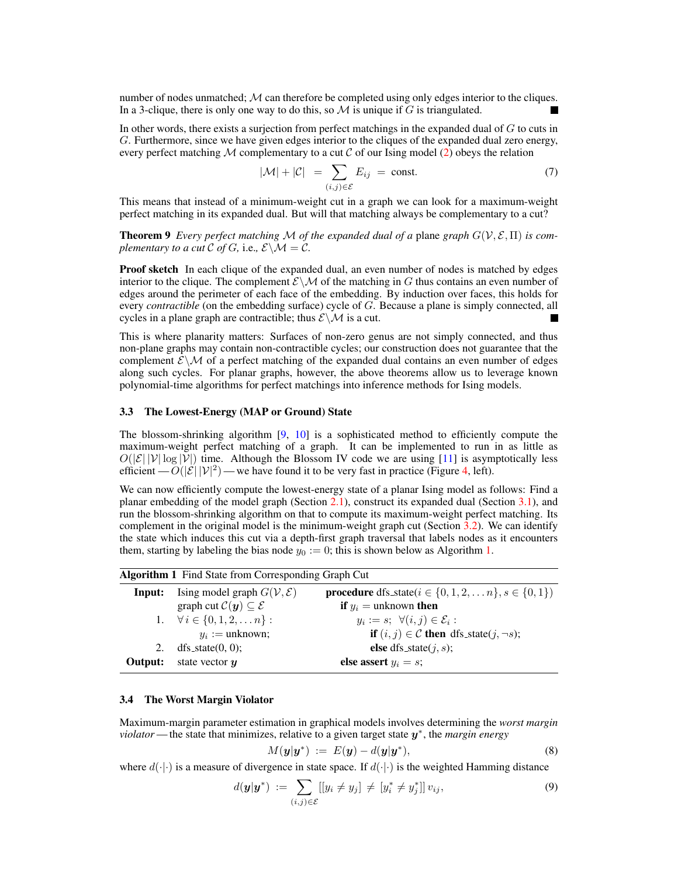number of nodes unmatched;  $M$  can therefore be completed using only edges interior to the cliques. In a 3-clique, there is only one way to do this, so  $M$  is unique if  $G$  is triangulated.

In other words, there exists a surjection from perfect matchings in the expanded dual of  $G$  to cuts in G. Furthermore, since we have given edges interior to the cliques of the expanded dual zero energy, every perfect matching M complementary to a cut C of our Ising model  $(2)$  obeys the relation

$$
|\mathcal{M}| + |\mathcal{C}| = \sum_{(i,j)\in\mathcal{E}} E_{ij} = \text{const.}
$$
 (7)

This means that instead of a minimum-weight cut in a graph we can look for a maximum-weight perfect matching in its expanded dual. But will that matching always be complementary to a cut?

**Theorem 9** *Every perfect matching* M *of the expanded dual of a* plane *graph*  $G(V, \mathcal{E}, \Pi)$  *is complementary to a cut*  $\mathcal C$  *of*  $G$ *, i.e.,*  $\mathcal E \backslash \mathcal M = \mathcal C$ *.* 

**Proof sketch** In each clique of the expanded dual, an even number of nodes is matched by edges interior to the clique. The complement  $\mathcal{E}\setminus\mathcal{M}$  of the matching in G thus contains an even number of edges around the perimeter of each face of the embedding. By induction over faces, this holds for every *contractible* (on the embedding surface) cycle of G. Because a plane is simply connected, all cycles in a plane graph are contractible; thus  $\mathcal{E}\setminus\mathcal{M}$  is a cut.

This is where planarity matters: Surfaces of non-zero genus are not simply connected, and thus non-plane graphs may contain non-contractible cycles; our construction does not guarantee that the complement  $\mathcal{E}\setminus\mathcal{M}$  of a perfect matching of the expanded dual contains an even number of edges along such cycles. For planar graphs, however, the above theorems allow us to leverage known polynomial-time algorithms for perfect matchings into inference methods for Ising models.

#### 3.3 The Lowest-Energy (MAP or Ground) State

The blossom-shrinking algorithm  $[9, 10]$  is a sophisticated method to efficiently compute the maximum-weight perfect matching of a graph. It can be implemented to run in as little as  $O(|\mathcal{E}| |\mathcal{V}| \log |\mathcal{V}|)$  time. Although the Blossom IV code we are using [11] is asymptotically less efficient  $- O(|\mathcal{E}| |\mathcal{V}|^2)$  — we have found it to be very fast in practice (Figure 4, left).

We can now efficiently compute the lowest-energy state of a planar Ising model as follows: Find a planar embedding of the model graph (Section 2.1), construct its expanded dual (Section 3.1), and run the blossom-shrinking algorithm on that to compute its maximum-weight perfect matching. Its complement in the original model is the minimum-weight graph cut (Section 3.2). We can identify the state which induces this cut via a depth-first graph traversal that labels nodes as it encounters them, starting by labeling the bias node  $y_0 := 0$ ; this is shown below as Algorithm 1.

| <b>Algorithm 1</b> Find State from Corresponding Graph Cut |                                                           |                                                                        |
|------------------------------------------------------------|-----------------------------------------------------------|------------------------------------------------------------------------|
| Input:                                                     | Ising model graph $G(V, \mathcal{E})$                     | <b>procedure</b> dfs_state( $i \in \{0, 1, 2, , n\}, s \in \{0, 1\}$ ) |
|                                                            | graph cut $\mathcal{C}(\mathbf{y}) \subseteq \mathcal{E}$ | <b>if</b> $y_i$ = unknown <b>then</b>                                  |
|                                                            | 1. $\forall i \in \{0, 1, 2, \ldots n\}$ :                | $y_i := s; \ \forall (i, j) \in \mathcal{E}_i:$                        |
|                                                            | $y_i :=$ unknown;                                         | <b>if</b> $(i, j) \in \mathcal{C}$ then dfs_state(j, $\neg s$ );       |
| 2.                                                         | $dfs-state(0, 0)$ ;                                       | <b>else</b> dfs_state $(j, s)$ ;                                       |
| Output:                                                    | state vector $y$                                          | else assert $y_i = s$ ;                                                |

## 3.4 The Worst Margin Violator

Maximum-margin parameter estimation in graphical models involves determining the *worst margin violator* — the state that minimizes, relative to a given target state y ∗ , the *margin energy*

$$
M(\boldsymbol{y}|\boldsymbol{y}^*)\;:=\;E(\boldsymbol{y})-d(\boldsymbol{y}|\boldsymbol{y}^*),\tag{8}
$$

where  $d(\cdot|\cdot)$  is a measure of divergence in state space. If  $d(\cdot|\cdot)$  is the weighted Hamming distance

$$
d(\mathbf{y}|\mathbf{y}^*) := \sum_{(i,j)\in\mathcal{E}} [[y_i \neq y_j] \neq [y_i^* \neq y_j^*]] v_{ij}, \tag{9}
$$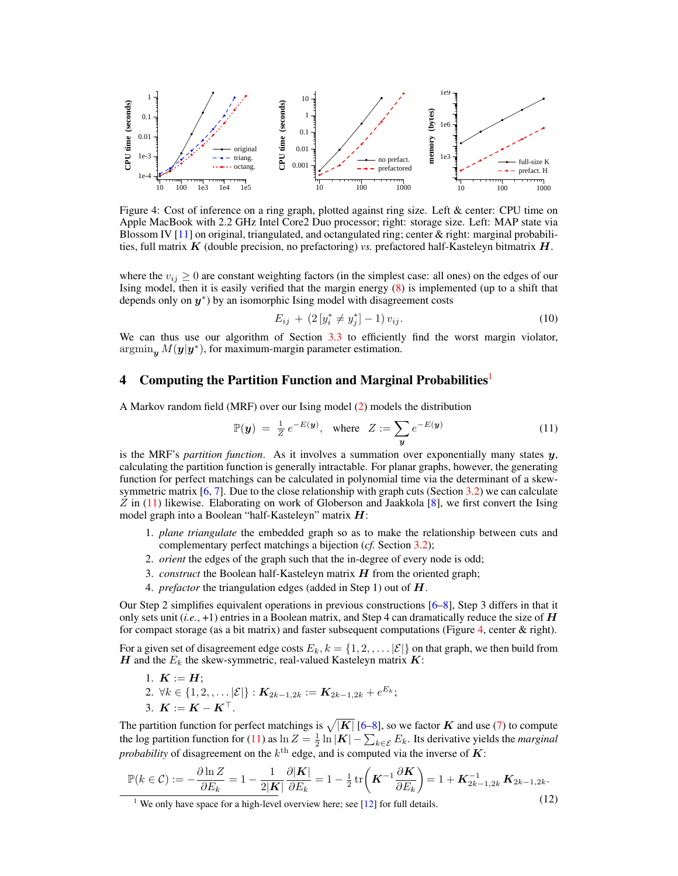

Figure 4: Cost of inference on a ring graph, plotted against ring size. Left & center: CPU time on Apple MacBook with 2.2 GHz Intel Core2 Duo processor; right: storage size. Left: MAP state via Blossom IV [11] on original, triangulated, and octangulated ring; center & right: marginal probabilities, full matrix K (double precision, no prefactoring) *vs.* prefactored half-Kasteleyn bitmatrix H.

where the  $v_{ij} \geq 0$  are constant weighting factors (in the simplest case: all ones) on the edges of our Ising model, then it is easily verified that the margin energy (8) is implemented (up to a shift that depends only on  $y^*$ ) by an isomorphic Ising model with disagreement costs

$$
E_{ij} + (2\left[y_i^* \neq y_j^*\right] - 1)v_{ij}.
$$
\n(10)

We can thus use our algorithm of Section 3.3 to efficiently find the worst margin violator,  $\operatorname{argmin}_{y} M(y|y^*)$ , for maximum-margin parameter estimation.

## 4 Computing the Partition Function and Marginal Probabilities<sup>1</sup>

A Markov random field (MRF) over our Ising model (2) models the distribution

$$
\mathbb{P}(\mathbf{y}) = \frac{1}{Z} e^{-E(\mathbf{y})}, \quad \text{where} \quad Z := \sum_{\mathbf{y}} e^{-E(\mathbf{y})} \tag{11}
$$

is the MRF's *partition function*. As it involves a summation over exponentially many states  $y$ , calculating the partition function is generally intractable. For planar graphs, however, the generating function for perfect matchings can be calculated in polynomial time via the determinant of a skewsymmetric matrix  $[6, 7]$ . Due to the close relationship with graph cuts (Section 3.2) we can calculate  $Z$  in (11) likewise. Elaborating on work of Globerson and Jaakkola  $[8]$ , we first convert the Ising model graph into a Boolean "half-Kasteleyn" matrix  $H$ :

- 1. *plane triangulate* the embedded graph so as to make the relationship between cuts and complementary perfect matchings a bijection (*cf.* Section 3.2);
- 2. *orient* the edges of the graph such that the in-degree of every node is odd;
- 3. *construct* the Boolean half-Kasteleyn matrix H from the oriented graph;
- 4. *prefactor* the triangulation edges (added in Step 1) out of H.

Our Step 2 simplifies equivalent operations in previous constructions [6–8], Step 3 differs in that it only sets unit  $(i.e., +1)$  entries in a Boolean matrix, and Step 4 can dramatically reduce the size of  $H$ for compact storage (as a bit matrix) and faster subsequent computations (Figure 4, center  $\&$  right).

For a given set of disagreement edge costs  $E_k$ ,  $k = \{1, 2, \dots |E|\}$  on that graph, we then build from H and the  $E_k$  the skew-symmetric, real-valued Kasteleyn matrix  $\boldsymbol{K}$ :

- 1.  $K := H$ ;
- 2.  $\forall k \in \{1, 2, \ldots |{\cal E}|\} :$   $\mathbf{K}_{2k-1,2k} := \mathbf{K}_{2k-1,2k} + e^{E_k};$
- 3.  $K := K K^{\top}$ .

The partition function for perfect matchings is  $\sqrt{|K|}$  [6–8], so we factor  $K$  and use (7) to compute the log partition function for (11) as  $\ln Z = \frac{1}{2} \ln |\mathbf{K}| - \sum_{k \in \mathcal{E}} E_k$ . Its derivative yields the *marginal probability* of disagreement on the  $k^{\text{th}}$  edge, and is computed via the inverse of  $\boldsymbol{K}$ :

$$
\mathbb{P}(k \in \mathcal{C}) := -\frac{\partial \ln Z}{\partial E_k} = 1 - \frac{1}{2|\mathbf{K}|} \frac{\partial |\mathbf{K}|}{\partial E_k} = 1 - \frac{1}{2} \operatorname{tr} \left( \mathbf{K}^{-1} \frac{\partial \mathbf{K}}{\partial E_k} \right) = 1 + \mathbf{K}_{2k-1, 2k}^{-1} \mathbf{K}_{2k-1, 2k}.
$$

<sup>&</sup>lt;sup>1</sup> We only have space for a high-level overview here; see [12] for full details.  $(12)$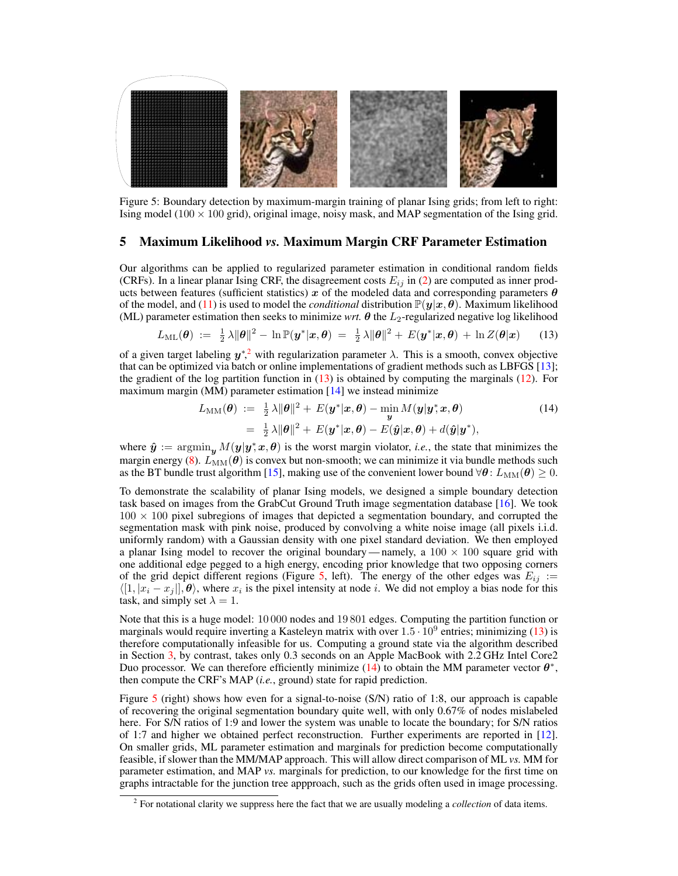

Figure 5: Boundary detection by maximum-margin training of planar Ising grids; from left to right: Ising model ( $100 \times 100$  grid), original image, noisy mask, and MAP segmentation of the Ising grid.

## 5 Maximum Likelihood *vs.* Maximum Margin CRF Parameter Estimation

Our algorithms can be applied to regularized parameter estimation in conditional random fields (CRFs). In a linear planar Ising CRF, the disagreement costs  $E_{ij}$  in (2) are computed as inner products between features (sufficient statistics) x of the modeled data and corresponding parameters  $\theta$ of the model, and (11) is used to model the *conditional* distribution  $\mathbb{P}(y|x, \theta)$ . Maximum likelihood (ML) parameter estimation then seeks to minimize *wrt.*  $\theta$  the  $L_2$ -regularized negative log likelihood

$$
L_{\text{ML}}(\boldsymbol{\theta}) := \frac{1}{2}\lambda \|\boldsymbol{\theta}\|^2 - \ln \mathbb{P}(\boldsymbol{y}^*|\boldsymbol{x}, \boldsymbol{\theta}) = \frac{1}{2}\lambda \|\boldsymbol{\theta}\|^2 + E(\boldsymbol{y}^*|\boldsymbol{x}, \boldsymbol{\theta}) + \ln Z(\boldsymbol{\theta}|\boldsymbol{x}) \qquad (13)
$$

of a given target labeling  $y^{*},^2$  with regularization parameter  $\lambda$ . This is a smooth, convex objective that can be optimized via batch or online implementations of gradient methods such as LBFGS [13]; the gradient of the log partition function in (13) is obtained by computing the marginals (12). For maximum margin (MM) parameter estimation  $[14]$  we instead minimize

$$
L_{\text{MM}}(\boldsymbol{\theta}) := \frac{1}{2} \lambda \|\boldsymbol{\theta}\|^2 + E(\boldsymbol{y}^*|\boldsymbol{x}, \boldsymbol{\theta}) - \min_{\boldsymbol{y}} M(\boldsymbol{y}|\boldsymbol{y}^*, \boldsymbol{x}, \boldsymbol{\theta})
$$
  
= 
$$
\frac{1}{2} \lambda \|\boldsymbol{\theta}\|^2 + E(\boldsymbol{y}^*|\boldsymbol{x}, \boldsymbol{\theta}) - E(\hat{\boldsymbol{y}}|\boldsymbol{x}, \boldsymbol{\theta}) + d(\hat{\boldsymbol{y}}|\boldsymbol{y}^*),
$$
 (14)

where  $\hat{y}$  :=  $\operatorname{argmin}_y M(y|y, x, \theta)$  is the worst margin violator, *i.e.*, the state that minimizes the margin energy (8).  $L_{MM}(\theta)$  is convex but non-smooth; we can minimize it via bundle methods such as the BT bundle trust algorithm [15], making use of the convenient lower bound  $\forall \theta : L_{MM}(\theta) \geq 0$ .

To demonstrate the scalability of planar Ising models, we designed a simple boundary detection task based on images from the GrabCut Ground Truth image segmentation database [16]. We took  $100 \times 100$  pixel subregions of images that depicted a segmentation boundary, and corrupted the segmentation mask with pink noise, produced by convolving a white noise image (all pixels i.i.d. uniformly random) with a Gaussian density with one pixel standard deviation. We then employed a planar Ising model to recover the original boundary — namely, a  $100 \times 100$  square grid with one additional edge pegged to a high energy, encoding prior knowledge that two opposing corners of the grid depict different regions (Figure 5, left). The energy of the other edges was  $E_{ij}$  :=  $\langle [1, |x_i - x_j|], \theta \rangle$ , where  $x_i$  is the pixel intensity at node i. We did not employ a bias node for this task, and simply set  $\lambda = 1$ .

Note that this is a huge model: 10 000 nodes and 19 801 edges. Computing the partition function or marginals would require inverting a Kasteleyn matrix with over  $1.5 \cdot 10^9$  entries; minimizing (13) is therefore computationally infeasible for us. Computing a ground state via the algorithm described in Section 3, by contrast, takes only 0.3 seconds on an Apple MacBook with 2.2 GHz Intel Core2 Duo processor. We can therefore efficiently minimize (14) to obtain the MM parameter vector  $\theta^*$ , then compute the CRF's MAP (*i.e.*, ground) state for rapid prediction.

Figure 5 (right) shows how even for a signal-to-noise (S/N) ratio of 1:8, our approach is capable of recovering the original segmentation boundary quite well, with only 0.67% of nodes mislabeled here. For S/N ratios of 1:9 and lower the system was unable to locate the boundary; for S/N ratios of 1:7 and higher we obtained perfect reconstruction. Further experiments are reported in [12]. On smaller grids, ML parameter estimation and marginals for prediction become computationally feasible, if slower than the MM/MAP approach. This will allow direct comparison of ML *vs.* MM for parameter estimation, and MAP *vs.* marginals for prediction, to our knowledge for the first time on graphs intractable for the junction tree appproach, such as the grids often used in image processing.

<sup>2</sup> For notational clarity we suppress here the fact that we are usually modeling a *collection* of data items.